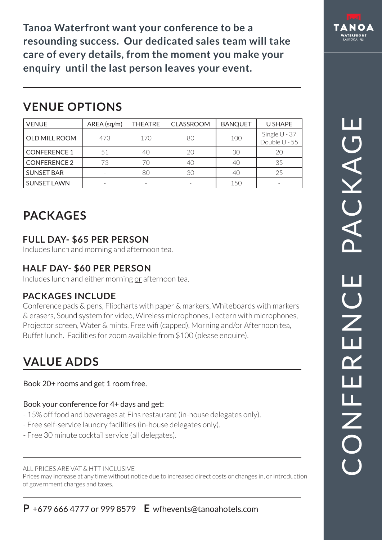**tanoa Waterfront want your conference to be a resounding success. Our dedicated sales team will take care of every details, from the moment you make your enquiry until the last person leaves your event.** 

# **VENUE OPTIONS**

| <b>VENUE</b>        | AREA (sq/m) | <b>THEATRE</b> | <b>CLASSROOM</b> | <b>BANQUET</b> | U SHAPE                          |
|---------------------|-------------|----------------|------------------|----------------|----------------------------------|
| OLD MILL ROOM       | 473         | 170            | 80               | 100            | Single $U - 37$<br>Double U - 55 |
| <b>CONFERENCE 1</b> | 51          | 40             | 20               | 30             | 20                               |
| <b>CONFERENCE 2</b> | 73          | 70             |                  | 40             | 35                               |
| <b>SUNSET BAR</b>   |             | 80             | 30               | 40             | 25                               |
| <b>SUNSET LAWN</b>  |             |                |                  | 150            |                                  |

# **PACKAGES**

# **FULL DAY- \$65 PER PERSON**

Includes lunch and morning and afternoon tea.

## **HALF DAY- \$60 PER PERSON**

Includes lunch and either morning or afternoon tea.

# **PACKAGES INCLUDE**

Conference pads & pens, Flipcharts with paper & markers, Whiteboards with markers & erasers, Sound system for video, Wireless microphones, Lectern with microphones, Projector screen, Water & mints, Free wifi (capped), Morning and/or Afternoon tea, Buffet lunch. Facilities for zoom available from \$100 (please enquire).

# **VALUE ADDS**

Book 20+ rooms and get 1 room free.

## Book your conference for 4+ days and get:

- 15% off food and beverages at Fins restaurant (in-house delegates only).
- Free self-service laundry facilities (in-house delegates only).
- Free 30 minute cocktail service (all delegates).

#### ALL PRICES ARE VAT & HTT INCLUSIVE

Prices may increase at any time without notice due to increased direct costs or changes in, or introduction of government charges and taxes.